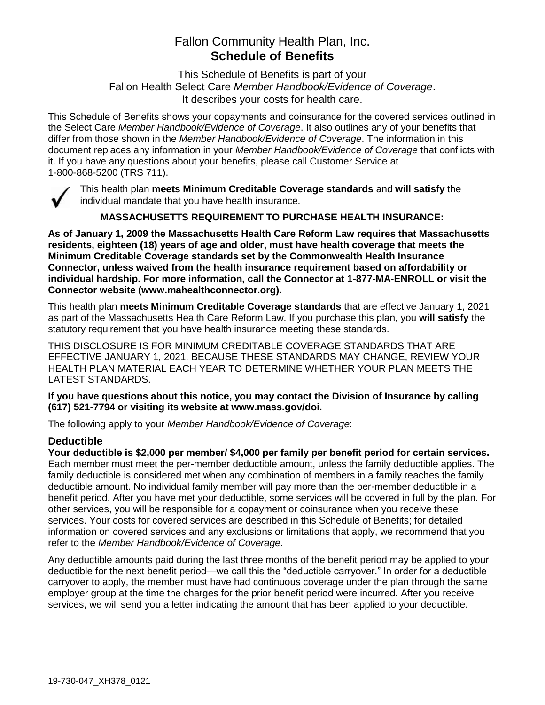# Fallon Community Health Plan, Inc. **Schedule of Benefits**

This Schedule of Benefits is part of your Fallon Health Select Care *Member Handbook/Evidence of Coverage*. It describes your costs for health care.

This Schedule of Benefits shows your copayments and coinsurance for the covered services outlined in the Select Care *Member Handbook/Evidence of Coverage*. It also outlines any of your benefits that differ from those shown in the *Member Handbook/Evidence of Coverage*. The information in this document replaces any information in your *Member Handbook/Evidence of Coverage* that conflicts with it. If you have any questions about your benefits, please call Customer Service at 1-800-868-5200 (TRS 711).



This health plan **meets Minimum Creditable Coverage standards** and **will satisfy** the individual mandate that you have health insurance.

**MASSACHUSETTS REQUIREMENT TO PURCHASE HEALTH INSURANCE:**

**As of January 1, 2009 the Massachusetts Health Care Reform Law requires that Massachusetts residents, eighteen (18) years of age and older, must have health coverage that meets the Minimum Creditable Coverage standards set by the Commonwealth Health Insurance Connector, unless waived from the health insurance requirement based on affordability or individual hardship. For more information, call the Connector at 1-877-MA-ENROLL or visit the Connector website (www.mahealthconnector.org).**

This health plan **meets Minimum Creditable Coverage standards** that are effective January 1, 2021 as part of the Massachusetts Health Care Reform Law. If you purchase this plan, you **will satisfy** the statutory requirement that you have health insurance meeting these standards.

THIS DISCLOSURE IS FOR MINIMUM CREDITABLE COVERAGE STANDARDS THAT ARE EFFECTIVE JANUARY 1, 2021. BECAUSE THESE STANDARDS MAY CHANGE, REVIEW YOUR HEALTH PLAN MATERIAL EACH YEAR TO DETERMINE WHETHER YOUR PLAN MEETS THE LATEST STANDARDS.

**If you have questions about this notice, you may contact the Division of Insurance by calling (617) 521-7794 or visiting its website at www.mass.gov/doi.** 

The following apply to your *Member Handbook/Evidence of Coverage*:

# **Deductible**

**Your deductible is \$2,000 per member/ \$4,000 per family per benefit period for certain services.** Each member must meet the per-member deductible amount, unless the family deductible applies. The family deductible is considered met when any combination of members in a family reaches the family deductible amount. No individual family member will pay more than the per-member deductible in a benefit period. After you have met your deductible, some services will be covered in full by the plan. For other services, you will be responsible for a copayment or coinsurance when you receive these services. Your costs for covered services are described in this Schedule of Benefits; for detailed information on covered services and any exclusions or limitations that apply, we recommend that you refer to the *Member Handbook/Evidence of Coverage*.

Any deductible amounts paid during the last three months of the benefit period may be applied to your deductible for the next benefit period—we call this the "deductible carryover." In order for a deductible carryover to apply, the member must have had continuous coverage under the plan through the same employer group at the time the charges for the prior benefit period were incurred. After you receive services, we will send you a letter indicating the amount that has been applied to your deductible.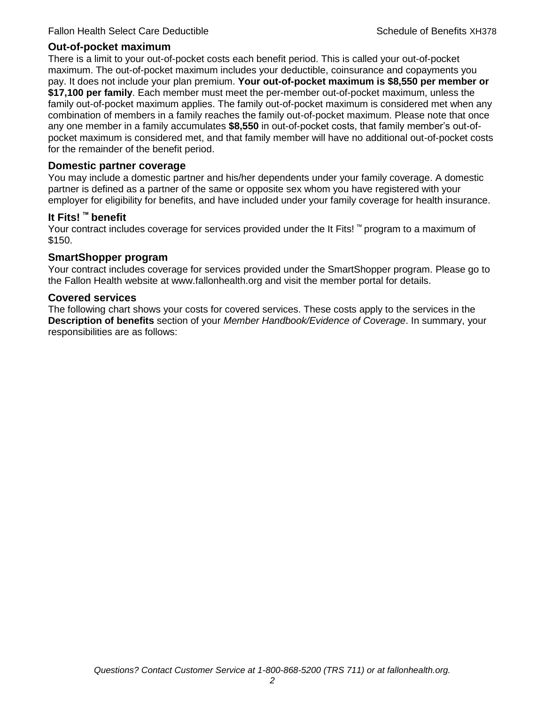## **Out-of-pocket maximum**

There is a limit to your out-of-pocket costs each benefit period. This is called your out-of-pocket maximum. The out-of-pocket maximum includes your deductible, coinsurance and copayments you pay. It does not include your plan premium. **Your out-of-pocket maximum is \$8,550 per member or \$17,100 per family**. Each member must meet the per-member out-of-pocket maximum, unless the family out-of-pocket maximum applies. The family out-of-pocket maximum is considered met when any combination of members in a family reaches the family out-of-pocket maximum. Please note that once any one member in a family accumulates **\$8,550** in out-of-pocket costs, that family member's out-ofpocket maximum is considered met, and that family member will have no additional out-of-pocket costs for the remainder of the benefit period.

## **Domestic partner coverage**

You may include a domestic partner and his/her dependents under your family coverage. A domestic partner is defined as a partner of the same or opposite sex whom you have registered with your employer for eligibility for benefits, and have included under your family coverage for health insurance.

## **It Fits! ™ benefit**

Your contract includes coverage for services provided under the It Fits! ™ program to a maximum of \$150.

## **SmartShopper program**

Your contract includes coverage for services provided under the SmartShopper program. Please go to the Fallon Health website at www.fallonhealth.org and visit the member portal for details.

#### **Covered services**

The following chart shows your costs for covered services. These costs apply to the services in the **Description of benefits** section of your *Member Handbook/Evidence of Coverage*. In summary, your responsibilities are as follows: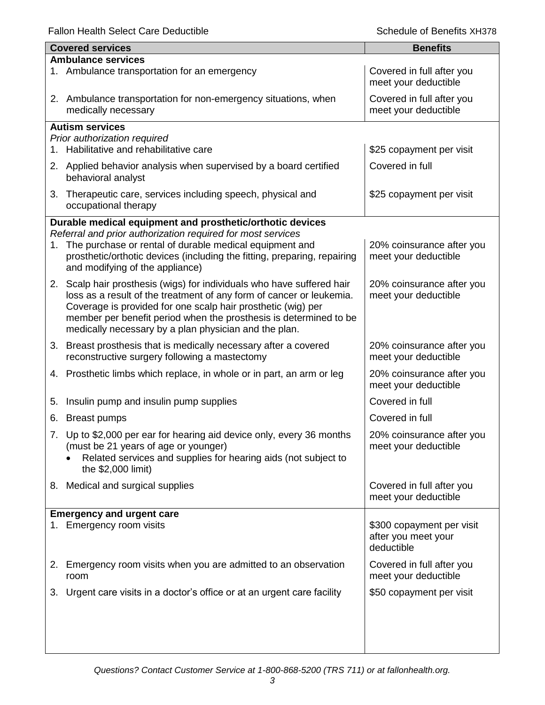|    | <b>Covered services</b>                                                                                                                                                                                                                                            | <b>Benefits</b>                                                |  |  |
|----|--------------------------------------------------------------------------------------------------------------------------------------------------------------------------------------------------------------------------------------------------------------------|----------------------------------------------------------------|--|--|
|    | <b>Ambulance services</b>                                                                                                                                                                                                                                          |                                                                |  |  |
|    | 1. Ambulance transportation for an emergency                                                                                                                                                                                                                       | Covered in full after you<br>meet your deductible              |  |  |
|    | 2. Ambulance transportation for non-emergency situations, when<br>medically necessary                                                                                                                                                                              | Covered in full after you<br>meet your deductible              |  |  |
|    | <b>Autism services</b>                                                                                                                                                                                                                                             |                                                                |  |  |
|    | Prior authorization required                                                                                                                                                                                                                                       |                                                                |  |  |
| 1. | Habilitative and rehabilitative care                                                                                                                                                                                                                               | \$25 copayment per visit                                       |  |  |
|    | 2. Applied behavior analysis when supervised by a board certified<br>behavioral analyst                                                                                                                                                                            | Covered in full                                                |  |  |
| 3. | Therapeutic care, services including speech, physical and<br>occupational therapy                                                                                                                                                                                  | \$25 copayment per visit                                       |  |  |
|    | Durable medical equipment and prosthetic/orthotic devices                                                                                                                                                                                                          |                                                                |  |  |
|    | Referral and prior authorization required for most services                                                                                                                                                                                                        |                                                                |  |  |
| 1. | The purchase or rental of durable medical equipment and<br>prosthetic/orthotic devices (including the fitting, preparing, repairing<br>and modifying of the appliance)                                                                                             | 20% coinsurance after you<br>meet your deductible              |  |  |
|    | 2. Scalp hair prosthesis (wigs) for individuals who have suffered hair                                                                                                                                                                                             | 20% coinsurance after you                                      |  |  |
|    | loss as a result of the treatment of any form of cancer or leukemia.<br>Coverage is provided for one scalp hair prosthetic (wig) per<br>member per benefit period when the prosthesis is determined to be<br>medically necessary by a plan physician and the plan. | meet your deductible                                           |  |  |
|    | 3. Breast prosthesis that is medically necessary after a covered                                                                                                                                                                                                   | 20% coinsurance after you                                      |  |  |
|    | reconstructive surgery following a mastectomy                                                                                                                                                                                                                      | meet your deductible                                           |  |  |
| 4. | Prosthetic limbs which replace, in whole or in part, an arm or leg                                                                                                                                                                                                 | 20% coinsurance after you<br>meet your deductible              |  |  |
| 5. | Insulin pump and insulin pump supplies                                                                                                                                                                                                                             | Covered in full                                                |  |  |
| 6. | <b>Breast pumps</b>                                                                                                                                                                                                                                                | Covered in full                                                |  |  |
|    | 7. Up to \$2,000 per ear for hearing aid device only, every 36 months                                                                                                                                                                                              | 20% coinsurance after you                                      |  |  |
|    | (must be 21 years of age or younger)<br>Related services and supplies for hearing aids (not subject to<br>the \$2,000 limit)                                                                                                                                       | meet your deductible                                           |  |  |
|    | 8. Medical and surgical supplies                                                                                                                                                                                                                                   | Covered in full after you<br>meet your deductible              |  |  |
|    | <b>Emergency and urgent care</b>                                                                                                                                                                                                                                   |                                                                |  |  |
|    | 1. Emergency room visits                                                                                                                                                                                                                                           | \$300 copayment per visit<br>after you meet your<br>deductible |  |  |
|    | 2. Emergency room visits when you are admitted to an observation<br>room                                                                                                                                                                                           | Covered in full after you<br>meet your deductible              |  |  |
|    | 3. Urgent care visits in a doctor's office or at an urgent care facility                                                                                                                                                                                           | \$50 copayment per visit                                       |  |  |
|    |                                                                                                                                                                                                                                                                    |                                                                |  |  |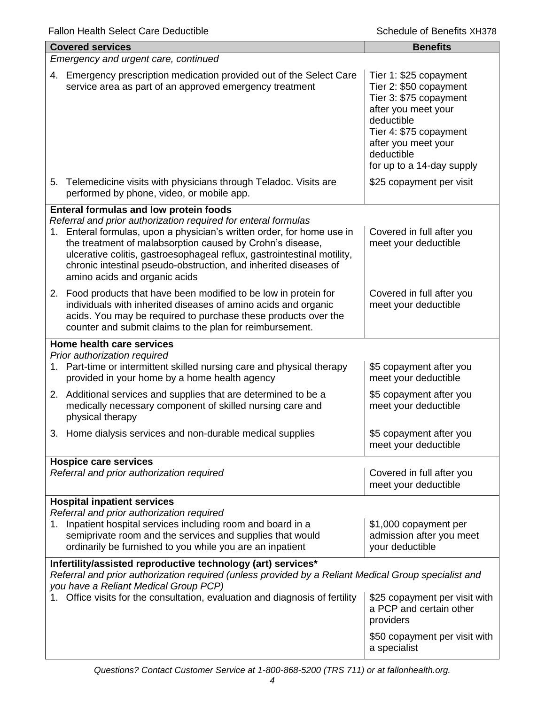| <b>Covered services</b>                                                                                                                                                                                                                                                                                                                                                               | <b>Benefits</b>                                                                                                                                                                                             |  |  |
|---------------------------------------------------------------------------------------------------------------------------------------------------------------------------------------------------------------------------------------------------------------------------------------------------------------------------------------------------------------------------------------|-------------------------------------------------------------------------------------------------------------------------------------------------------------------------------------------------------------|--|--|
| Emergency and urgent care, continued                                                                                                                                                                                                                                                                                                                                                  |                                                                                                                                                                                                             |  |  |
| Emergency prescription medication provided out of the Select Care<br>4.<br>service area as part of an approved emergency treatment                                                                                                                                                                                                                                                    | Tier 1: \$25 copayment<br>Tier 2: \$50 copayment<br>Tier 3: \$75 copayment<br>after you meet your<br>deductible<br>Tier 4: \$75 copayment<br>after you meet your<br>deductible<br>for up to a 14-day supply |  |  |
| 5. Telemedicine visits with physicians through Teladoc. Visits are<br>performed by phone, video, or mobile app.                                                                                                                                                                                                                                                                       | \$25 copayment per visit                                                                                                                                                                                    |  |  |
| <b>Enteral formulas and low protein foods</b>                                                                                                                                                                                                                                                                                                                                         |                                                                                                                                                                                                             |  |  |
| Referral and prior authorization required for enteral formulas<br>1. Enteral formulas, upon a physician's written order, for home use in<br>the treatment of malabsorption caused by Crohn's disease,<br>ulcerative colitis, gastroesophageal reflux, gastrointestinal motility,<br>chronic intestinal pseudo-obstruction, and inherited diseases of<br>amino acids and organic acids | Covered in full after you<br>meet your deductible                                                                                                                                                           |  |  |
| 2. Food products that have been modified to be low in protein for<br>individuals with inherited diseases of amino acids and organic<br>acids. You may be required to purchase these products over the<br>counter and submit claims to the plan for reimbursement.                                                                                                                     | Covered in full after you<br>meet your deductible                                                                                                                                                           |  |  |
| Home health care services                                                                                                                                                                                                                                                                                                                                                             |                                                                                                                                                                                                             |  |  |
| Prior authorization required<br>1. Part-time or intermittent skilled nursing care and physical therapy<br>provided in your home by a home health agency                                                                                                                                                                                                                               | \$5 copayment after you<br>meet your deductible                                                                                                                                                             |  |  |
| 2. Additional services and supplies that are determined to be a<br>medically necessary component of skilled nursing care and<br>physical therapy                                                                                                                                                                                                                                      | \$5 copayment after you<br>meet your deductible                                                                                                                                                             |  |  |
| 3. Home dialysis services and non-durable medical supplies                                                                                                                                                                                                                                                                                                                            | \$5 copayment after you<br>meet your deductible                                                                                                                                                             |  |  |
| <b>Hospice care services</b><br>Referral and prior authorization required                                                                                                                                                                                                                                                                                                             | Covered in full after you<br>meet your deductible                                                                                                                                                           |  |  |
| <b>Hospital inpatient services</b>                                                                                                                                                                                                                                                                                                                                                    |                                                                                                                                                                                                             |  |  |
| Referral and prior authorization required<br>Inpatient hospital services including room and board in a<br>1.<br>semiprivate room and the services and supplies that would<br>ordinarily be furnished to you while you are an inpatient                                                                                                                                                | \$1,000 copayment per<br>admission after you meet<br>your deductible                                                                                                                                        |  |  |
| Infertility/assisted reproductive technology (art) services*<br>Referral and prior authorization required (unless provided by a Reliant Medical Group specialist and<br>you have a Reliant Medical Group PCP)                                                                                                                                                                         |                                                                                                                                                                                                             |  |  |
| 1. Office visits for the consultation, evaluation and diagnosis of fertility                                                                                                                                                                                                                                                                                                          | \$25 copayment per visit with<br>a PCP and certain other<br>providers                                                                                                                                       |  |  |
|                                                                                                                                                                                                                                                                                                                                                                                       | \$50 copayment per visit with<br>a specialist                                                                                                                                                               |  |  |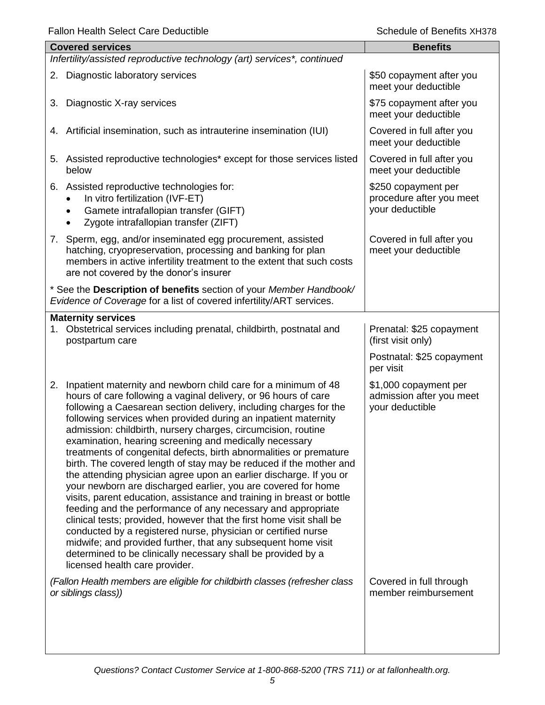|    | <b>Covered services</b>                                                                                                                                                                                                                                                                                                                                                                                                                                                                                                                                                                                                                                                                                                                                                                                                                                                                                                                                                                                                                                                                                                                     | <b>Benefits</b>                                                                          |
|----|---------------------------------------------------------------------------------------------------------------------------------------------------------------------------------------------------------------------------------------------------------------------------------------------------------------------------------------------------------------------------------------------------------------------------------------------------------------------------------------------------------------------------------------------------------------------------------------------------------------------------------------------------------------------------------------------------------------------------------------------------------------------------------------------------------------------------------------------------------------------------------------------------------------------------------------------------------------------------------------------------------------------------------------------------------------------------------------------------------------------------------------------|------------------------------------------------------------------------------------------|
|    | Infertility/assisted reproductive technology (art) services*, continued                                                                                                                                                                                                                                                                                                                                                                                                                                                                                                                                                                                                                                                                                                                                                                                                                                                                                                                                                                                                                                                                     |                                                                                          |
|    | 2. Diagnostic laboratory services                                                                                                                                                                                                                                                                                                                                                                                                                                                                                                                                                                                                                                                                                                                                                                                                                                                                                                                                                                                                                                                                                                           | \$50 copayment after you<br>meet your deductible                                         |
| 3. | Diagnostic X-ray services                                                                                                                                                                                                                                                                                                                                                                                                                                                                                                                                                                                                                                                                                                                                                                                                                                                                                                                                                                                                                                                                                                                   | \$75 copayment after you<br>meet your deductible                                         |
|    | 4. Artificial insemination, such as intrauterine insemination (IUI)                                                                                                                                                                                                                                                                                                                                                                                                                                                                                                                                                                                                                                                                                                                                                                                                                                                                                                                                                                                                                                                                         | Covered in full after you<br>meet your deductible                                        |
|    | 5. Assisted reproductive technologies* except for those services listed<br>below                                                                                                                                                                                                                                                                                                                                                                                                                                                                                                                                                                                                                                                                                                                                                                                                                                                                                                                                                                                                                                                            | Covered in full after you<br>meet your deductible                                        |
|    | 6. Assisted reproductive technologies for:<br>In vitro fertilization (IVF-ET)<br>Gamete intrafallopian transfer (GIFT)<br>Zygote intrafallopian transfer (ZIFT)                                                                                                                                                                                                                                                                                                                                                                                                                                                                                                                                                                                                                                                                                                                                                                                                                                                                                                                                                                             | \$250 copayment per<br>procedure after you meet<br>your deductible                       |
|    | 7. Sperm, egg, and/or inseminated egg procurement, assisted<br>hatching, cryopreservation, processing and banking for plan<br>members in active infertility treatment to the extent that such costs<br>are not covered by the donor's insurer                                                                                                                                                                                                                                                                                                                                                                                                                                                                                                                                                                                                                                                                                                                                                                                                                                                                                               | Covered in full after you<br>meet your deductible                                        |
|    | * See the Description of benefits section of your Member Handbook/<br>Evidence of Coverage for a list of covered infertility/ART services.                                                                                                                                                                                                                                                                                                                                                                                                                                                                                                                                                                                                                                                                                                                                                                                                                                                                                                                                                                                                  |                                                                                          |
|    | <b>Maternity services</b><br>1. Obstetrical services including prenatal, childbirth, postnatal and<br>postpartum care                                                                                                                                                                                                                                                                                                                                                                                                                                                                                                                                                                                                                                                                                                                                                                                                                                                                                                                                                                                                                       | Prenatal: \$25 copayment<br>(first visit only)<br>Postnatal: \$25 copayment<br>per visit |
| 2. | Inpatient maternity and newborn child care for a minimum of 48<br>hours of care following a vaginal delivery, or 96 hours of care<br>following a Caesarean section delivery, including charges for the<br>following services when provided during an inpatient maternity<br>admission: childbirth, nursery charges, circumcision, routine<br>examination, hearing screening and medically necessary<br>treatments of congenital defects, birth abnormalities or premature<br>birth. The covered length of stay may be reduced if the mother and<br>the attending physician agree upon an earlier discharge. If you or<br>your newborn are discharged earlier, you are covered for home<br>visits, parent education, assistance and training in breast or bottle<br>feeding and the performance of any necessary and appropriate<br>clinical tests; provided, however that the first home visit shall be<br>conducted by a registered nurse, physician or certified nurse<br>midwife; and provided further, that any subsequent home visit<br>determined to be clinically necessary shall be provided by a<br>licensed health care provider. | \$1,000 copayment per<br>admission after you meet<br>your deductible                     |
|    | (Fallon Health members are eligible for childbirth classes (refresher class<br>or siblings class))                                                                                                                                                                                                                                                                                                                                                                                                                                                                                                                                                                                                                                                                                                                                                                                                                                                                                                                                                                                                                                          | Covered in full through<br>member reimbursement                                          |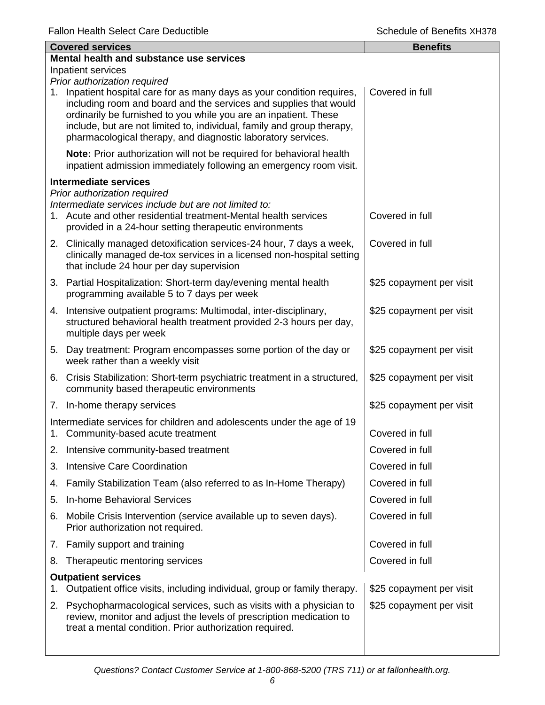|                                                    | <b>Covered services</b>                                                                                                                                                                                                                                                                                                                                 | <b>Benefits</b>          |  |
|----------------------------------------------------|---------------------------------------------------------------------------------------------------------------------------------------------------------------------------------------------------------------------------------------------------------------------------------------------------------------------------------------------------------|--------------------------|--|
|                                                    | Mental health and substance use services                                                                                                                                                                                                                                                                                                                |                          |  |
| Inpatient services<br>Prior authorization required |                                                                                                                                                                                                                                                                                                                                                         |                          |  |
| 1.                                                 | Inpatient hospital care for as many days as your condition requires,<br>including room and board and the services and supplies that would<br>ordinarily be furnished to you while you are an inpatient. These<br>include, but are not limited to, individual, family and group therapy,<br>pharmacological therapy, and diagnostic laboratory services. | Covered in full          |  |
|                                                    | Note: Prior authorization will not be required for behavioral health<br>inpatient admission immediately following an emergency room visit.                                                                                                                                                                                                              |                          |  |
|                                                    | <b>Intermediate services</b>                                                                                                                                                                                                                                                                                                                            |                          |  |
|                                                    | Prior authorization required<br>Intermediate services include but are not limited to:<br>1. Acute and other residential treatment-Mental health services<br>provided in a 24-hour setting therapeutic environments                                                                                                                                      | Covered in full          |  |
|                                                    | 2. Clinically managed detoxification services-24 hour, 7 days a week,<br>clinically managed de-tox services in a licensed non-hospital setting<br>that include 24 hour per day supervision                                                                                                                                                              | Covered in full          |  |
|                                                    | 3. Partial Hospitalization: Short-term day/evening mental health<br>programming available 5 to 7 days per week                                                                                                                                                                                                                                          | \$25 copayment per visit |  |
|                                                    | 4. Intensive outpatient programs: Multimodal, inter-disciplinary,<br>structured behavioral health treatment provided 2-3 hours per day,<br>multiple days per week                                                                                                                                                                                       | \$25 copayment per visit |  |
|                                                    | 5. Day treatment: Program encompasses some portion of the day or<br>week rather than a weekly visit                                                                                                                                                                                                                                                     | \$25 copayment per visit |  |
|                                                    | 6. Crisis Stabilization: Short-term psychiatric treatment in a structured,<br>community based therapeutic environments                                                                                                                                                                                                                                  | \$25 copayment per visit |  |
|                                                    | 7. In-home therapy services                                                                                                                                                                                                                                                                                                                             | \$25 copayment per visit |  |
|                                                    | Intermediate services for children and adolescents under the age of 19<br>1. Community-based acute treatment                                                                                                                                                                                                                                            | Covered in full          |  |
| 2.                                                 | Intensive community-based treatment                                                                                                                                                                                                                                                                                                                     | Covered in full          |  |
| 3.                                                 | Intensive Care Coordination                                                                                                                                                                                                                                                                                                                             | Covered in full          |  |
| 4.                                                 | Family Stabilization Team (also referred to as In-Home Therapy)                                                                                                                                                                                                                                                                                         | Covered in full          |  |
| 5.                                                 | <b>In-home Behavioral Services</b>                                                                                                                                                                                                                                                                                                                      | Covered in full          |  |
| 6.                                                 | Mobile Crisis Intervention (service available up to seven days).<br>Prior authorization not required.                                                                                                                                                                                                                                                   | Covered in full          |  |
|                                                    | 7. Family support and training                                                                                                                                                                                                                                                                                                                          | Covered in full          |  |
| 8.                                                 | Therapeutic mentoring services                                                                                                                                                                                                                                                                                                                          | Covered in full          |  |
| 1.                                                 | <b>Outpatient services</b><br>Outpatient office visits, including individual, group or family therapy.                                                                                                                                                                                                                                                  | \$25 copayment per visit |  |
| 2.                                                 | Psychopharmacological services, such as visits with a physician to<br>review, monitor and adjust the levels of prescription medication to<br>treat a mental condition. Prior authorization required.                                                                                                                                                    | \$25 copayment per visit |  |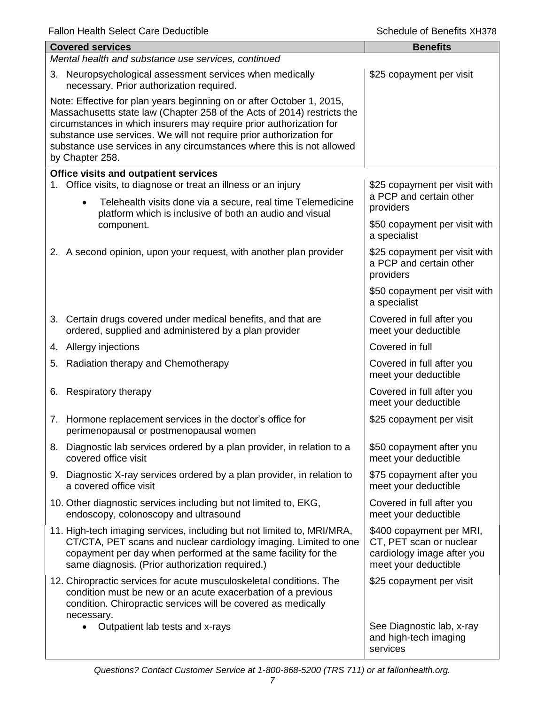|                                                                                                                                                                                                                                                                                                                                                                                            | <b>Covered services</b>                                                                                                                                                                                                                                        | <b>Benefits</b>                                                                                           |  |  |
|--------------------------------------------------------------------------------------------------------------------------------------------------------------------------------------------------------------------------------------------------------------------------------------------------------------------------------------------------------------------------------------------|----------------------------------------------------------------------------------------------------------------------------------------------------------------------------------------------------------------------------------------------------------------|-----------------------------------------------------------------------------------------------------------|--|--|
|                                                                                                                                                                                                                                                                                                                                                                                            | Mental health and substance use services, continued                                                                                                                                                                                                            |                                                                                                           |  |  |
|                                                                                                                                                                                                                                                                                                                                                                                            | 3. Neuropsychological assessment services when medically<br>necessary. Prior authorization required.                                                                                                                                                           | \$25 copayment per visit                                                                                  |  |  |
| Note: Effective for plan years beginning on or after October 1, 2015,<br>Massachusetts state law (Chapter 258 of the Acts of 2014) restricts the<br>circumstances in which insurers may require prior authorization for<br>substance use services. We will not require prior authorization for<br>substance use services in any circumstances where this is not allowed<br>by Chapter 258. |                                                                                                                                                                                                                                                                |                                                                                                           |  |  |
|                                                                                                                                                                                                                                                                                                                                                                                            | Office visits and outpatient services                                                                                                                                                                                                                          |                                                                                                           |  |  |
|                                                                                                                                                                                                                                                                                                                                                                                            | 1. Office visits, to diagnose or treat an illness or an injury<br>Telehealth visits done via a secure, real time Telemedicine<br>$\bullet$                                                                                                                     | \$25 copayment per visit with<br>a PCP and certain other<br>providers                                     |  |  |
|                                                                                                                                                                                                                                                                                                                                                                                            | platform which is inclusive of both an audio and visual<br>component.                                                                                                                                                                                          | \$50 copayment per visit with<br>a specialist                                                             |  |  |
|                                                                                                                                                                                                                                                                                                                                                                                            | 2. A second opinion, upon your request, with another plan provider                                                                                                                                                                                             | \$25 copayment per visit with<br>a PCP and certain other<br>providers                                     |  |  |
|                                                                                                                                                                                                                                                                                                                                                                                            |                                                                                                                                                                                                                                                                | \$50 copayment per visit with<br>a specialist                                                             |  |  |
|                                                                                                                                                                                                                                                                                                                                                                                            | 3. Certain drugs covered under medical benefits, and that are<br>ordered, supplied and administered by a plan provider                                                                                                                                         | Covered in full after you<br>meet your deductible                                                         |  |  |
|                                                                                                                                                                                                                                                                                                                                                                                            | 4. Allergy injections                                                                                                                                                                                                                                          | Covered in full                                                                                           |  |  |
|                                                                                                                                                                                                                                                                                                                                                                                            | 5. Radiation therapy and Chemotherapy                                                                                                                                                                                                                          | Covered in full after you<br>meet your deductible                                                         |  |  |
|                                                                                                                                                                                                                                                                                                                                                                                            | 6. Respiratory therapy                                                                                                                                                                                                                                         | Covered in full after you<br>meet your deductible                                                         |  |  |
|                                                                                                                                                                                                                                                                                                                                                                                            | 7. Hormone replacement services in the doctor's office for<br>perimenopausal or postmenopausal women                                                                                                                                                           | \$25 copayment per visit                                                                                  |  |  |
|                                                                                                                                                                                                                                                                                                                                                                                            | 8. Diagnostic lab services ordered by a plan provider, in relation to a<br>covered office visit                                                                                                                                                                | \$50 copayment after you<br>meet your deductible                                                          |  |  |
|                                                                                                                                                                                                                                                                                                                                                                                            | 9. Diagnostic X-ray services ordered by a plan provider, in relation to<br>a covered office visit                                                                                                                                                              | \$75 copayment after you<br>meet your deductible                                                          |  |  |
|                                                                                                                                                                                                                                                                                                                                                                                            | 10. Other diagnostic services including but not limited to, EKG,<br>endoscopy, colonoscopy and ultrasound                                                                                                                                                      | Covered in full after you<br>meet your deductible                                                         |  |  |
|                                                                                                                                                                                                                                                                                                                                                                                            | 11. High-tech imaging services, including but not limited to, MRI/MRA,<br>CT/CTA, PET scans and nuclear cardiology imaging. Limited to one<br>copayment per day when performed at the same facility for the<br>same diagnosis. (Prior authorization required.) | \$400 copayment per MRI,<br>CT, PET scan or nuclear<br>cardiology image after you<br>meet your deductible |  |  |
|                                                                                                                                                                                                                                                                                                                                                                                            | 12. Chiropractic services for acute musculoskeletal conditions. The<br>condition must be new or an acute exacerbation of a previous<br>condition. Chiropractic services will be covered as medically<br>necessary.                                             | \$25 copayment per visit                                                                                  |  |  |
|                                                                                                                                                                                                                                                                                                                                                                                            | Outpatient lab tests and x-rays<br>$\bullet$                                                                                                                                                                                                                   | See Diagnostic lab, x-ray<br>and high-tech imaging<br>services                                            |  |  |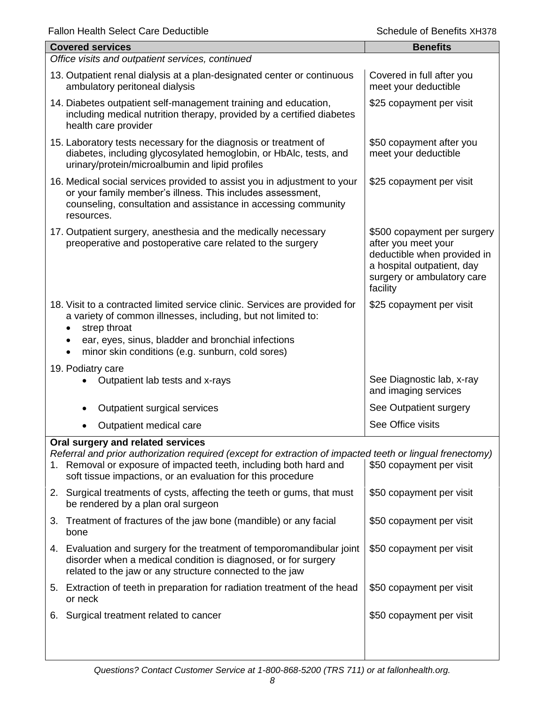| <b>Fallon Health Select Care Deductible</b>                                                                                                                                                                                                                                        | Schedule of Benefits XH378                                                                                                                                |  |
|------------------------------------------------------------------------------------------------------------------------------------------------------------------------------------------------------------------------------------------------------------------------------------|-----------------------------------------------------------------------------------------------------------------------------------------------------------|--|
| <b>Covered services</b>                                                                                                                                                                                                                                                            | <b>Benefits</b>                                                                                                                                           |  |
| Office visits and outpatient services, continued                                                                                                                                                                                                                                   |                                                                                                                                                           |  |
| 13. Outpatient renal dialysis at a plan-designated center or continuous<br>ambulatory peritoneal dialysis                                                                                                                                                                          | Covered in full after you<br>meet your deductible                                                                                                         |  |
| 14. Diabetes outpatient self-management training and education,<br>including medical nutrition therapy, provided by a certified diabetes<br>health care provider                                                                                                                   | \$25 copayment per visit                                                                                                                                  |  |
| 15. Laboratory tests necessary for the diagnosis or treatment of<br>diabetes, including glycosylated hemoglobin, or HbAlc, tests, and<br>urinary/protein/microalbumin and lipid profiles                                                                                           | \$50 copayment after you<br>meet your deductible                                                                                                          |  |
| 16. Medical social services provided to assist you in adjustment to your<br>or your family member's illness. This includes assessment,<br>counseling, consultation and assistance in accessing community<br>resources.                                                             | \$25 copayment per visit                                                                                                                                  |  |
| 17. Outpatient surgery, anesthesia and the medically necessary<br>preoperative and postoperative care related to the surgery                                                                                                                                                       | \$500 copayment per surgery<br>after you meet your<br>deductible when provided in<br>a hospital outpatient, day<br>surgery or ambulatory care<br>facility |  |
| 18. Visit to a contracted limited service clinic. Services are provided for<br>a variety of common illnesses, including, but not limited to:<br>strep throat<br>ear, eyes, sinus, bladder and bronchial infections<br>minor skin conditions (e.g. sunburn, cold sores)             | \$25 copayment per visit                                                                                                                                  |  |
| 19. Podiatry care<br>Outpatient lab tests and x-rays                                                                                                                                                                                                                               | See Diagnostic lab, x-ray<br>and imaging services                                                                                                         |  |
| Outpatient surgical services                                                                                                                                                                                                                                                       | See Outpatient surgery                                                                                                                                    |  |
| Outpatient medical care                                                                                                                                                                                                                                                            | See Office visits                                                                                                                                         |  |
| Oral surgery and related services<br>Referral and prior authorization required (except for extraction of impacted teeth or lingual frenectomy)<br>1. Removal or exposure of impacted teeth, including both hard and<br>soft tissue impactions, or an evaluation for this procedure | \$50 copayment per visit                                                                                                                                  |  |
| 2. Surgical treatments of cysts, affecting the teeth or gums, that must<br>be rendered by a plan oral surgeon                                                                                                                                                                      | \$50 copayment per visit                                                                                                                                  |  |
| Treatment of fractures of the jaw bone (mandible) or any facial<br>3.<br>bone                                                                                                                                                                                                      | \$50 copayment per visit                                                                                                                                  |  |
| 4. Evaluation and surgery for the treatment of temporomandibular joint<br>disorder when a medical condition is diagnosed, or for surgery<br>related to the jaw or any structure connected to the jaw                                                                               | \$50 copayment per visit                                                                                                                                  |  |
| 5. Extraction of teeth in preparation for radiation treatment of the head<br>or neck                                                                                                                                                                                               | \$50 copayment per visit                                                                                                                                  |  |
| Surgical treatment related to cancer<br>6.                                                                                                                                                                                                                                         | \$50 copayment per visit                                                                                                                                  |  |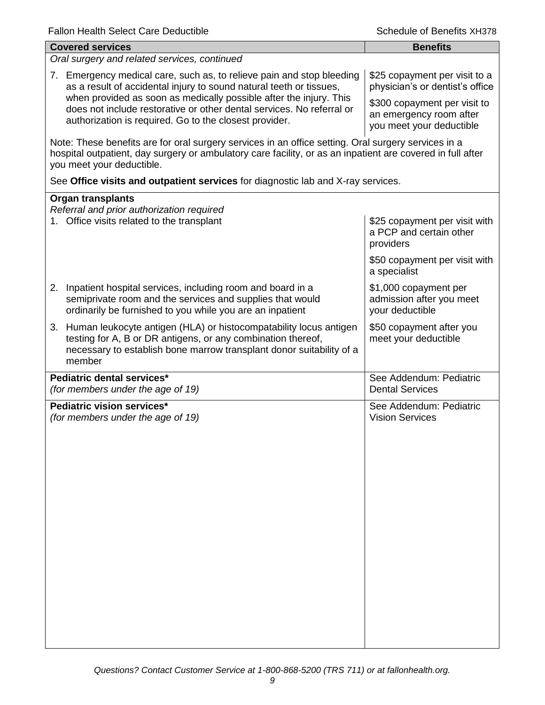| <b>Covered services</b>                                                                                                                                                                                                                        | <b>Benefits</b>                                                                     |  |  |
|------------------------------------------------------------------------------------------------------------------------------------------------------------------------------------------------------------------------------------------------|-------------------------------------------------------------------------------------|--|--|
| Oral surgery and related services, continued                                                                                                                                                                                                   |                                                                                     |  |  |
| 7. Emergency medical care, such as, to relieve pain and stop bleeding<br>as a result of accidental injury to sound natural teeth or tissues,<br>when provided as soon as medically possible after the injury. This                             | \$25 copayment per visit to a<br>physician's or dentist's office                    |  |  |
| does not include restorative or other dental services. No referral or<br>authorization is required. Go to the closest provider.                                                                                                                | \$300 copayment per visit to<br>an emergency room after<br>you meet your deductible |  |  |
| Note: These benefits are for oral surgery services in an office setting. Oral surgery services in a<br>hospital outpatient, day surgery or ambulatory care facility, or as an inpatient are covered in full after<br>you meet your deductible. |                                                                                     |  |  |
| See Office visits and outpatient services for diagnostic lab and X-ray services.                                                                                                                                                               |                                                                                     |  |  |
| <b>Organ transplants</b>                                                                                                                                                                                                                       |                                                                                     |  |  |
| Referral and prior authorization required<br>1. Office visits related to the transplant                                                                                                                                                        | \$25 copayment per visit with<br>a PCP and certain other<br>providers               |  |  |
|                                                                                                                                                                                                                                                | \$50 copayment per visit with<br>a specialist                                       |  |  |
| 2. Inpatient hospital services, including room and board in a<br>semiprivate room and the services and supplies that would<br>ordinarily be furnished to you while you are an inpatient                                                        | \$1,000 copayment per<br>admission after you meet<br>your deductible                |  |  |
| 3. Human leukocyte antigen (HLA) or histocompatability locus antigen<br>testing for A, B or DR antigens, or any combination thereof,<br>necessary to establish bone marrow transplant donor suitability of a<br>member                         | \$50 copayment after you<br>meet your deductible                                    |  |  |
| Pediatric dental services*<br>(for members under the age of 19)                                                                                                                                                                                | See Addendum: Pediatric<br><b>Dental Services</b>                                   |  |  |
| Pediatric vision services*<br>(for members under the age of 19)                                                                                                                                                                                | See Addendum: Pediatric<br><b>Vision Services</b>                                   |  |  |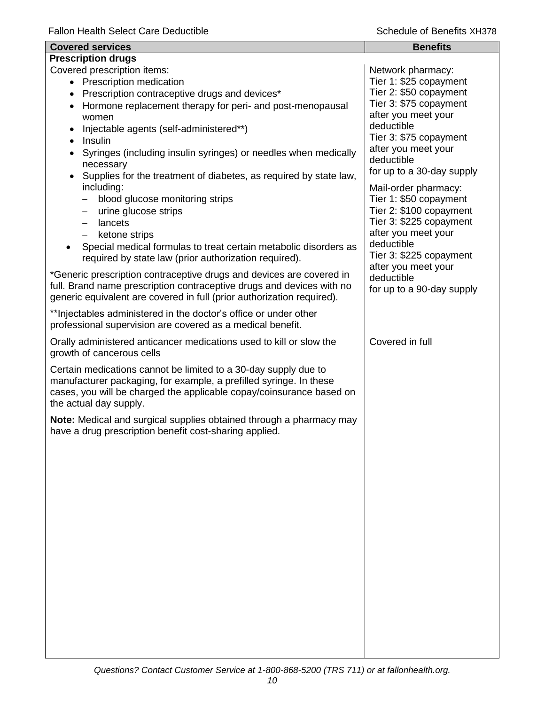| <b>Covered services</b>                                                                                                                                                                                                                 | <b>Benefits</b>                                   |
|-----------------------------------------------------------------------------------------------------------------------------------------------------------------------------------------------------------------------------------------|---------------------------------------------------|
| <b>Prescription drugs</b>                                                                                                                                                                                                               |                                                   |
| Covered prescription items:                                                                                                                                                                                                             | Network pharmacy:                                 |
| • Prescription medication                                                                                                                                                                                                               | Tier 1: \$25 copayment<br>Tier 2: \$50 copayment  |
| Prescription contraceptive drugs and devices*                                                                                                                                                                                           | Tier 3: \$75 copayment                            |
| Hormone replacement therapy for peri- and post-menopausal<br>women                                                                                                                                                                      | after you meet your                               |
| Injectable agents (self-administered**)                                                                                                                                                                                                 | deductible                                        |
| Insulin<br>$\bullet$                                                                                                                                                                                                                    | Tier 3: \$75 copayment                            |
| Syringes (including insulin syringes) or needles when medically<br>necessary                                                                                                                                                            | after you meet your<br>deductible                 |
| Supplies for the treatment of diabetes, as required by state law,<br>including:                                                                                                                                                         | for up to a 30-day supply<br>Mail-order pharmacy: |
| blood glucose monitoring strips                                                                                                                                                                                                         | Tier 1: \$50 copayment                            |
| urine glucose strips<br>$\overline{\phantom{0}}$                                                                                                                                                                                        | Tier 2: \$100 copayment                           |
| lancets<br>$\overline{\phantom{0}}$                                                                                                                                                                                                     | Tier 3: \$225 copayment                           |
| ketone strips<br>$\overline{\phantom{0}}$                                                                                                                                                                                               | after you meet your                               |
| Special medical formulas to treat certain metabolic disorders as<br>required by state law (prior authorization required).                                                                                                               | deductible<br>Tier 3: \$225 copayment             |
| *Generic prescription contraceptive drugs and devices are covered in                                                                                                                                                                    | after you meet your<br>deductible                 |
| full. Brand name prescription contraceptive drugs and devices with no<br>generic equivalent are covered in full (prior authorization required).                                                                                         | for up to a 90-day supply                         |
| ** Injectables administered in the doctor's office or under other<br>professional supervision are covered as a medical benefit.                                                                                                         |                                                   |
| Orally administered anticancer medications used to kill or slow the<br>growth of cancerous cells                                                                                                                                        | Covered in full                                   |
| Certain medications cannot be limited to a 30-day supply due to<br>manufacturer packaging, for example, a prefilled syringe. In these<br>cases, you will be charged the applicable copay/coinsurance based on<br>the actual day supply. |                                                   |
| Note: Medical and surgical supplies obtained through a pharmacy may<br>have a drug prescription benefit cost-sharing applied.                                                                                                           |                                                   |
|                                                                                                                                                                                                                                         |                                                   |
|                                                                                                                                                                                                                                         |                                                   |
|                                                                                                                                                                                                                                         |                                                   |
|                                                                                                                                                                                                                                         |                                                   |
|                                                                                                                                                                                                                                         |                                                   |
|                                                                                                                                                                                                                                         |                                                   |
|                                                                                                                                                                                                                                         |                                                   |
|                                                                                                                                                                                                                                         |                                                   |
|                                                                                                                                                                                                                                         |                                                   |
|                                                                                                                                                                                                                                         |                                                   |
|                                                                                                                                                                                                                                         |                                                   |
|                                                                                                                                                                                                                                         |                                                   |
|                                                                                                                                                                                                                                         |                                                   |
|                                                                                                                                                                                                                                         |                                                   |
|                                                                                                                                                                                                                                         |                                                   |
|                                                                                                                                                                                                                                         |                                                   |
|                                                                                                                                                                                                                                         |                                                   |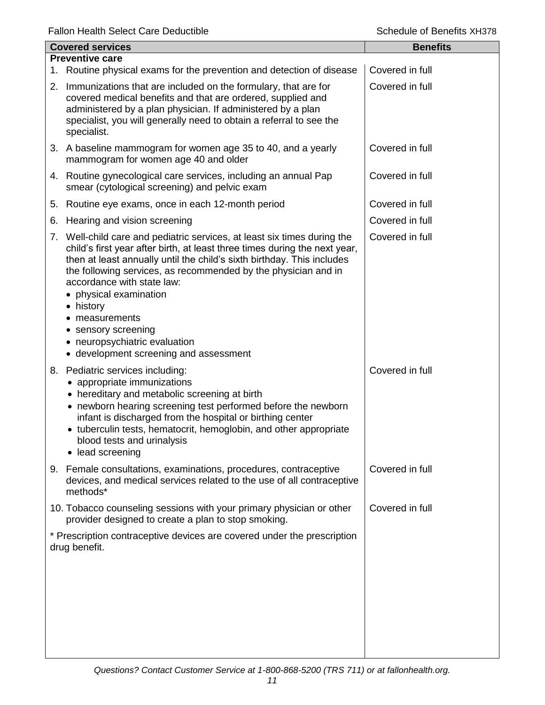| <b>Covered services</b> |                                                                                                                                                                                                                                                                                                                                                                                                                                                                                                      | <b>Benefits</b> |
|-------------------------|------------------------------------------------------------------------------------------------------------------------------------------------------------------------------------------------------------------------------------------------------------------------------------------------------------------------------------------------------------------------------------------------------------------------------------------------------------------------------------------------------|-----------------|
|                         | <b>Preventive care</b>                                                                                                                                                                                                                                                                                                                                                                                                                                                                               |                 |
|                         | 1. Routine physical exams for the prevention and detection of disease                                                                                                                                                                                                                                                                                                                                                                                                                                | Covered in full |
|                         | 2. Immunizations that are included on the formulary, that are for<br>covered medical benefits and that are ordered, supplied and<br>administered by a plan physician. If administered by a plan<br>specialist, you will generally need to obtain a referral to see the<br>specialist.                                                                                                                                                                                                                | Covered in full |
|                         | 3. A baseline mammogram for women age 35 to 40, and a yearly<br>mammogram for women age 40 and older                                                                                                                                                                                                                                                                                                                                                                                                 | Covered in full |
|                         | 4. Routine gynecological care services, including an annual Pap<br>smear (cytological screening) and pelvic exam                                                                                                                                                                                                                                                                                                                                                                                     | Covered in full |
| 5.                      | Routine eye exams, once in each 12-month period                                                                                                                                                                                                                                                                                                                                                                                                                                                      | Covered in full |
| 6.                      | Hearing and vision screening                                                                                                                                                                                                                                                                                                                                                                                                                                                                         | Covered in full |
|                         | 7. Well-child care and pediatric services, at least six times during the<br>child's first year after birth, at least three times during the next year,<br>then at least annually until the child's sixth birthday. This includes<br>the following services, as recommended by the physician and in<br>accordance with state law:<br>• physical examination<br>• history<br>measurements<br>sensory screening<br>$\bullet$<br>• neuropsychiatric evaluation<br>• development screening and assessment | Covered in full |
|                         | 8. Pediatric services including:<br>appropriate immunizations<br>• hereditary and metabolic screening at birth<br>• newborn hearing screening test performed before the newborn<br>infant is discharged from the hospital or birthing center<br>• tuberculin tests, hematocrit, hemoglobin, and other appropriate<br>blood tests and urinalysis<br>• lead screening                                                                                                                                  | Covered in full |
| 9.                      | Female consultations, examinations, procedures, contraceptive<br>devices, and medical services related to the use of all contraceptive<br>methods*                                                                                                                                                                                                                                                                                                                                                   | Covered in full |
|                         | 10. Tobacco counseling sessions with your primary physician or other<br>provider designed to create a plan to stop smoking.                                                                                                                                                                                                                                                                                                                                                                          | Covered in full |
|                         | * Prescription contraceptive devices are covered under the prescription<br>drug benefit.                                                                                                                                                                                                                                                                                                                                                                                                             |                 |
|                         |                                                                                                                                                                                                                                                                                                                                                                                                                                                                                                      |                 |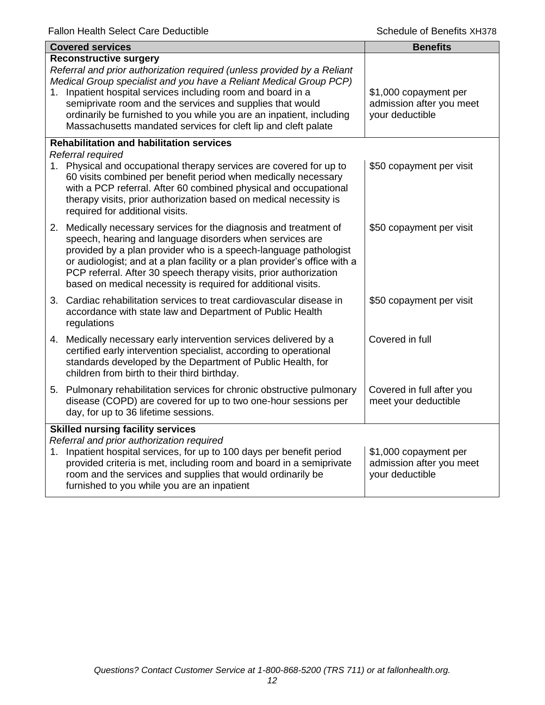|                                                                                       | <b>Covered services</b>                                                                                                                                                                                                                                                                                                                                                                                                                            | <b>Benefits</b>                                                      |
|---------------------------------------------------------------------------------------|----------------------------------------------------------------------------------------------------------------------------------------------------------------------------------------------------------------------------------------------------------------------------------------------------------------------------------------------------------------------------------------------------------------------------------------------------|----------------------------------------------------------------------|
| 1.                                                                                    | <b>Reconstructive surgery</b><br>Referral and prior authorization required (unless provided by a Reliant<br>Medical Group specialist and you have a Reliant Medical Group PCP)<br>Inpatient hospital services including room and board in a<br>semiprivate room and the services and supplies that would<br>ordinarily be furnished to you while you are an inpatient, including<br>Massachusetts mandated services for cleft lip and cleft palate | \$1,000 copayment per<br>admission after you meet<br>your deductible |
|                                                                                       | <b>Rehabilitation and habilitation services</b><br>Referral required                                                                                                                                                                                                                                                                                                                                                                               |                                                                      |
|                                                                                       | 1. Physical and occupational therapy services are covered for up to<br>60 visits combined per benefit period when medically necessary<br>with a PCP referral. After 60 combined physical and occupational<br>therapy visits, prior authorization based on medical necessity is<br>required for additional visits.                                                                                                                                  | \$50 copayment per visit                                             |
|                                                                                       | 2. Medically necessary services for the diagnosis and treatment of<br>speech, hearing and language disorders when services are<br>provided by a plan provider who is a speech-language pathologist<br>or audiologist; and at a plan facility or a plan provider's office with a<br>PCP referral. After 30 speech therapy visits, prior authorization<br>based on medical necessity is required for additional visits.                              | \$50 copayment per visit                                             |
|                                                                                       | 3. Cardiac rehabilitation services to treat cardiovascular disease in<br>accordance with state law and Department of Public Health<br>regulations                                                                                                                                                                                                                                                                                                  | \$50 copayment per visit                                             |
|                                                                                       | 4. Medically necessary early intervention services delivered by a<br>certified early intervention specialist, according to operational<br>standards developed by the Department of Public Health, for<br>children from birth to their third birthday.                                                                                                                                                                                              | Covered in full                                                      |
|                                                                                       | 5. Pulmonary rehabilitation services for chronic obstructive pulmonary<br>disease (COPD) are covered for up to two one-hour sessions per<br>day, for up to 36 lifetime sessions.                                                                                                                                                                                                                                                                   | Covered in full after you<br>meet your deductible                    |
| <b>Skilled nursing facility services</b><br>Referral and prior authorization required |                                                                                                                                                                                                                                                                                                                                                                                                                                                    |                                                                      |
|                                                                                       | 1. Inpatient hospital services, for up to 100 days per benefit period<br>provided criteria is met, including room and board in a semiprivate<br>room and the services and supplies that would ordinarily be<br>furnished to you while you are an inpatient                                                                                                                                                                                         | \$1,000 copayment per<br>admission after you meet<br>your deductible |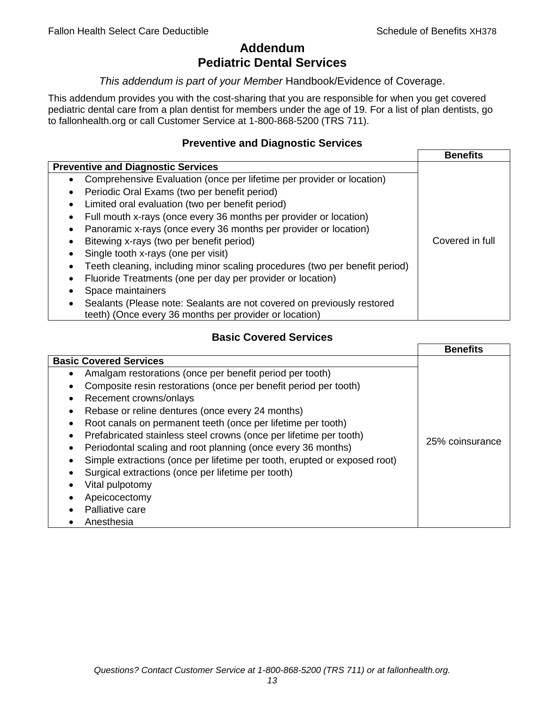# **Addendum Pediatric Dental Services**

## *This addendum is part of your Member* Handbook/Evidence of Coverage.

This addendum provides you with the cost-sharing that you are responsible for when you get covered pediatric dental care from a plan dentist for members under the age of 19. For a list of plan dentists, go to fallonhealth.org or call Customer Service at 1-800-868-5200 (TRS 711).

# **Preventive and Diagnostic Services**

|                                                                             | <b>Benefits</b> |
|-----------------------------------------------------------------------------|-----------------|
| <b>Preventive and Diagnostic Services</b>                                   |                 |
| Comprehensive Evaluation (once per lifetime per provider or location)<br>٠  |                 |
| Periodic Oral Exams (two per benefit period)<br>$\bullet$                   |                 |
| Limited oral evaluation (two per benefit period)<br>$\bullet$               |                 |
| Full mouth x-rays (once every 36 months per provider or location)<br>٠      |                 |
| Panoramic x-rays (once every 36 months per provider or location)            |                 |
| Bitewing x-rays (two per benefit period)<br>٠                               | Covered in full |
| Single tooth x-rays (one per visit)                                         |                 |
| Teeth cleaning, including minor scaling procedures (two per benefit period) |                 |
| Fluoride Treatments (one per day per provider or location)<br>٠             |                 |
| Space maintainers                                                           |                 |
| Sealants (Please note: Sealants are not covered on previously restored      |                 |
| teeth) (Once every 36 months per provider or location)                      |                 |

# **Basic Covered Services**

|                                                                                                                                                                                                                                                                                                                                                                                                            | <b>Benefits</b> |
|------------------------------------------------------------------------------------------------------------------------------------------------------------------------------------------------------------------------------------------------------------------------------------------------------------------------------------------------------------------------------------------------------------|-----------------|
| <b>Basic Covered Services</b><br>Amalgam restorations (once per benefit period per tooth)<br>Composite resin restorations (once per benefit period per tooth)<br>Recement crowns/onlays<br>Rebase or reline dentures (once every 24 months)                                                                                                                                                                |                 |
| Root canals on permanent teeth (once per lifetime per tooth)<br>Prefabricated stainless steel crowns (once per lifetime per tooth)<br>Periodontal scaling and root planning (once every 36 months)<br>Simple extractions (once per lifetime per tooth, erupted or exposed root)<br>Surgical extractions (once per lifetime per tooth)<br>Vital pulpotomy<br>Apeicocectomy<br>Palliative care<br>Anesthesia | 25% coinsurance |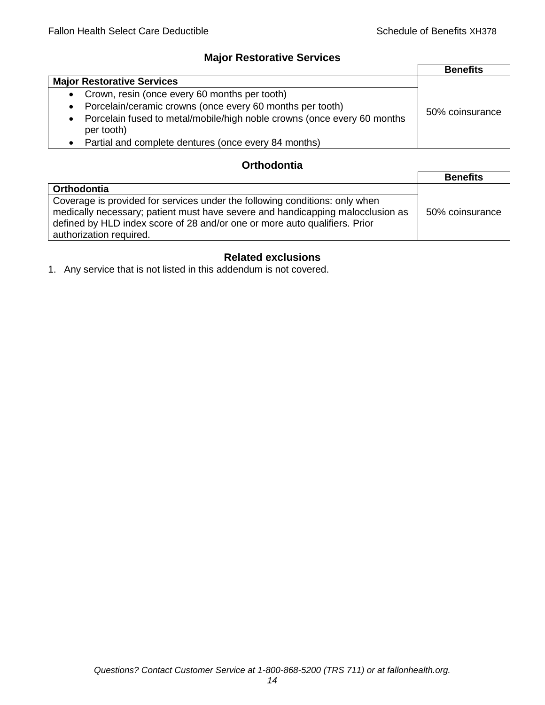# **Major Restorative Services**

|                                                                                                    | <b>Benefits</b> |
|----------------------------------------------------------------------------------------------------|-----------------|
| <b>Major Restorative Services</b>                                                                  |                 |
| • Crown, resin (once every 60 months per tooth)                                                    |                 |
| Porcelain/ceramic crowns (once every 60 months per tooth)<br>$\bullet$                             | 50% coinsurance |
| Porcelain fused to metal/mobile/high noble crowns (once every 60 months<br>$\bullet$<br>per tooth) |                 |
| • Partial and complete dentures (once every 84 months)                                             |                 |

# **Orthodontia**

|                                                                                                                                                                                                                                                                        | <b>Benefits</b> |
|------------------------------------------------------------------------------------------------------------------------------------------------------------------------------------------------------------------------------------------------------------------------|-----------------|
| Orthodontia                                                                                                                                                                                                                                                            |                 |
| Coverage is provided for services under the following conditions: only when<br>medically necessary; patient must have severe and handicapping malocclusion as<br>defined by HLD index score of 28 and/or one or more auto qualifiers. Prior<br>authorization required. | 50% coinsurance |

# **Related exclusions**

1. Any service that is not listed in this addendum is not covered.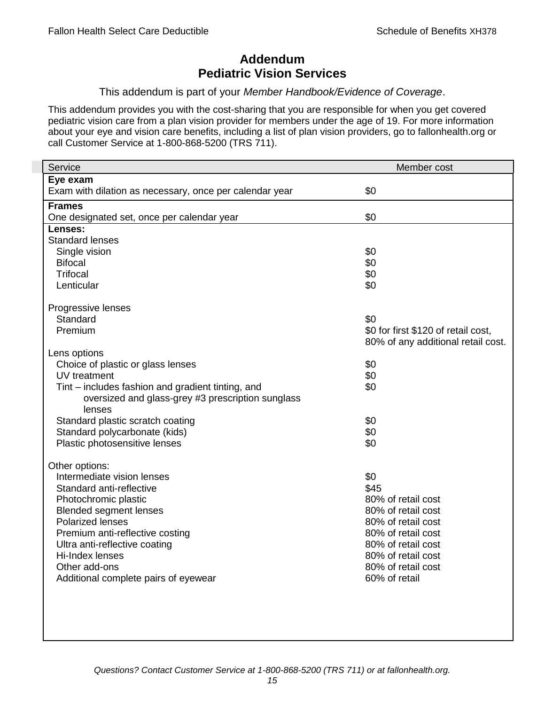# **Addendum Pediatric Vision Services**

## This addendum is part of your *Member Handbook/Evidence of Coverage*.

This addendum provides you with the cost-sharing that you are responsible for when you get covered pediatric vision care from a plan vision provider for members under the age of 19. For more information about your eye and vision care benefits, including a list of plan vision providers, go to fallonhealth.org or call Customer Service at 1-800-868-5200 (TRS 711).

| Service                                                  | Member cost                         |
|----------------------------------------------------------|-------------------------------------|
| Eye exam                                                 |                                     |
| Exam with dilation as necessary, once per calendar year  | \$0                                 |
| <b>Frames</b>                                            |                                     |
| One designated set, once per calendar year               | \$0                                 |
| Lenses:                                                  |                                     |
| <b>Standard lenses</b>                                   |                                     |
| Single vision                                            | \$0                                 |
| <b>Bifocal</b>                                           | \$0                                 |
| <b>Trifocal</b>                                          | \$0                                 |
| Lenticular                                               | \$0                                 |
| Progressive lenses                                       |                                     |
| Standard                                                 | \$0                                 |
| Premium                                                  | \$0 for first \$120 of retail cost, |
|                                                          | 80% of any additional retail cost.  |
| Lens options                                             |                                     |
| Choice of plastic or glass lenses                        | \$0                                 |
| UV treatment                                             | \$0                                 |
| Tint – includes fashion and gradient tinting, and        | \$0                                 |
| oversized and glass-grey #3 prescription sunglass        |                                     |
| lenses                                                   |                                     |
| Standard plastic scratch coating                         | \$0                                 |
| Standard polycarbonate (kids)                            | \$0                                 |
| Plastic photosensitive lenses                            | \$0                                 |
|                                                          |                                     |
| Other options:                                           |                                     |
| Intermediate vision lenses                               | \$0                                 |
| Standard anti-reflective                                 | \$45<br>80% of retail cost          |
| Photochromic plastic                                     | 80% of retail cost                  |
| <b>Blended segment lenses</b><br><b>Polarized lenses</b> | 80% of retail cost                  |
| Premium anti-reflective costing                          | 80% of retail cost                  |
| Ultra anti-reflective coating                            | 80% of retail cost                  |
| Hi-Index lenses                                          | 80% of retail cost                  |
| Other add-ons                                            | 80% of retail cost                  |
| Additional complete pairs of eyewear                     | 60% of retail                       |
|                                                          |                                     |
|                                                          |                                     |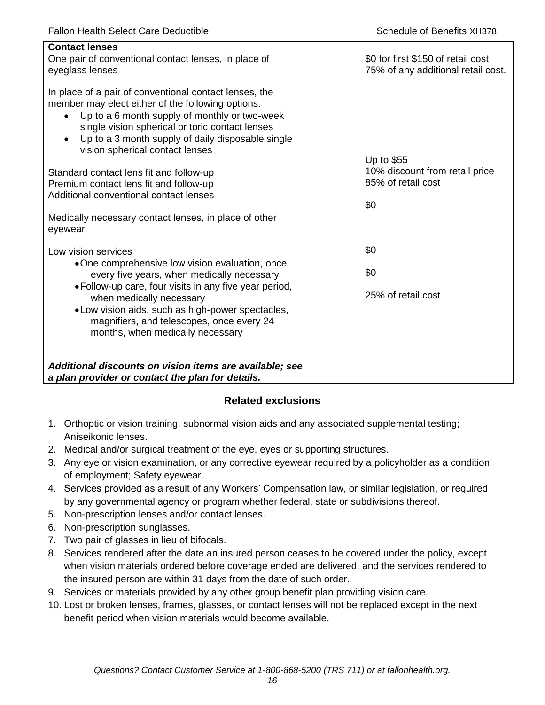| <b>Contact lenses</b><br>One pair of conventional contact lenses, in place of<br>eyeglass lenses                                                                                                                                                                                                                                  | \$0 for first \$150 of retail cost,<br>75% of any additional retail cost. |
|-----------------------------------------------------------------------------------------------------------------------------------------------------------------------------------------------------------------------------------------------------------------------------------------------------------------------------------|---------------------------------------------------------------------------|
| In place of a pair of conventional contact lenses, the<br>member may elect either of the following options:<br>Up to a 6 month supply of monthly or two-week<br>$\bullet$<br>single vision spherical or toric contact lenses<br>Up to a 3 month supply of daily disposable single<br>$\bullet$<br>vision spherical contact lenses |                                                                           |
| Standard contact lens fit and follow-up<br>Premium contact lens fit and follow-up<br>Additional conventional contact lenses                                                                                                                                                                                                       | Up to \$55<br>10% discount from retail price<br>85% of retail cost<br>\$0 |
| Medically necessary contact lenses, in place of other<br>eyewear                                                                                                                                                                                                                                                                  |                                                                           |
| Low vision services                                                                                                                                                                                                                                                                                                               | \$0                                                                       |
| •One comprehensive low vision evaluation, once<br>every five years, when medically necessary                                                                                                                                                                                                                                      | \$0                                                                       |
| • Follow-up care, four visits in any five year period,<br>when medically necessary<br>• Low vision aids, such as high-power spectacles,<br>magnifiers, and telescopes, once every 24<br>months, when medically necessary                                                                                                          | 25% of retail cost                                                        |
| Additional discounts on vision items are available; see<br>a plan provider or contact the plan for details.                                                                                                                                                                                                                       |                                                                           |

# **Related exclusions**

- 1. Orthoptic or vision training, subnormal vision aids and any associated supplemental testing; Aniseikonic lenses.
- 2. Medical and/or surgical treatment of the eye, eyes or supporting structures.
- 3. Any eye or vision examination, or any corrective eyewear required by a policyholder as a condition of employment; Safety eyewear.
- 4. Services provided as a result of any Workers' Compensation law, or similar legislation, or required by any governmental agency or program whether federal, state or subdivisions thereof.
- 5. Non-prescription lenses and/or contact lenses.
- 6. Non-prescription sunglasses.
- 7. Two pair of glasses in lieu of bifocals.
- 8. Services rendered after the date an insured person ceases to be covered under the policy, except when vision materials ordered before coverage ended are delivered, and the services rendered to the insured person are within 31 days from the date of such order.
- 9. Services or materials provided by any other group benefit plan providing vision care.
- 10. Lost or broken lenses, frames, glasses, or contact lenses will not be replaced except in the next benefit period when vision materials would become available.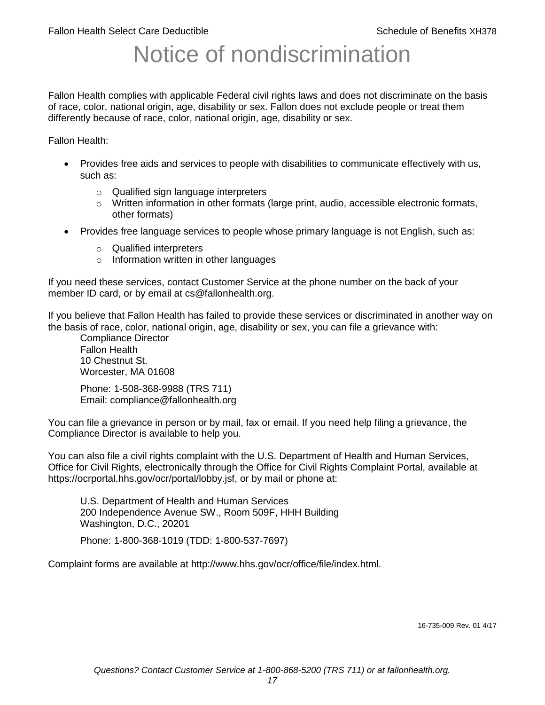# Notice of nondiscrimination

Fallon Health complies with applicable Federal civil rights laws and does not discriminate on the basis of race, color, national origin, age, disability or sex. Fallon does not exclude people or treat them differently because of race, color, national origin, age, disability or sex.

Fallon Health:

- Provides free aids and services to people with disabilities to communicate effectively with us, such as:
	- o Qualified sign language interpreters
	- $\circ$  Written information in other formats (large print, audio, accessible electronic formats, other formats)
- Provides free language services to people whose primary language is not English, such as:
	- o Qualified interpreters
	- o Information written in other languages

If you need these services, contact Customer Service at the phone number on the back of your member ID card, or by email at cs@fallonhealth.org.

If you believe that Fallon Health has failed to provide these services or discriminated in another way on the basis of race, color, national origin, age, disability or sex, you can file a grievance with:

Compliance Director Fallon Health 10 Chestnut St. Worcester, MA 01608

Phone: 1-508-368-9988 (TRS 711) Email: compliance@fallonhealth.org

You can file a grievance in person or by mail, fax or email. If you need help filing a grievance, the Compliance Director is available to help you.

You can also file a civil rights complaint with the U.S. Department of Health and Human Services, Office for Civil Rights, electronically through the Office for Civil Rights Complaint Portal, available at https://ocrportal.hhs.gov/ocr/portal/lobby.jsf, or by mail or phone at:

U.S. Department of Health and Human Services 200 Independence Avenue SW., Room 509F, HHH Building Washington, D.C., 20201

Phone: 1-800-368-1019 (TDD: 1-800-537-7697)

Complaint forms are available at http://www.hhs.gov/ocr/office/file/index.html.

16-735-009 Rev. 01 4/17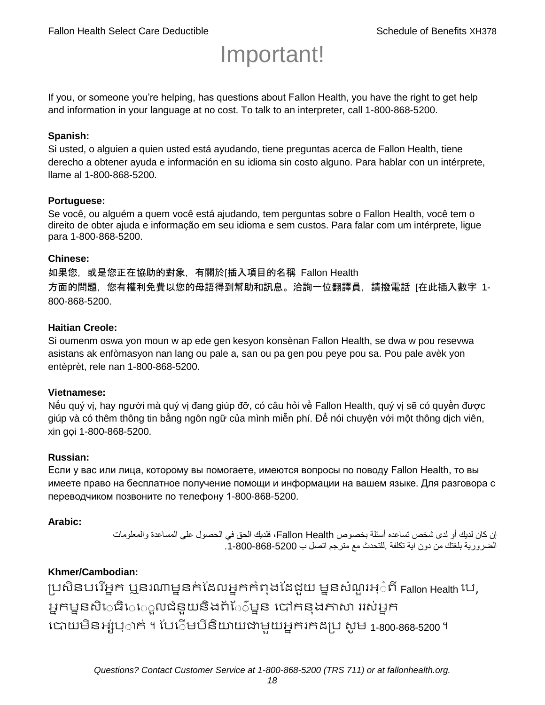# Important!

If you, or someone you're helping, has questions about Fallon Health, you have the right to get help and information in your language at no cost. To talk to an interpreter, call 1-800-868-5200.

## **Spanish:**

Si usted, o alguien a quien usted está ayudando, tiene preguntas acerca de Fallon Health, tiene derecho a obtener ayuda e información en su idioma sin costo alguno. Para hablar con un intérprete, llame al 1-800-868-5200.

## **Portuguese:**

Se você, ou alguém a quem você está ajudando, tem perguntas sobre o Fallon Health, você tem o direito de obter ajuda e informação em seu idioma e sem custos. Para falar com um intérprete, ligue para 1-800-868-5200.

#### **Chinese:**

如果您,或是您正在協助的對象,有關於[插入項目的名稱 Fallon Health 方面的問題, 您有權利免費以您的母語得到幫助和訊息。洽詢一位翻譯員, 請撥電話 [在此插入數字 1-800-868-5200.

## **Haitian Creole:**

Si oumenm oswa yon moun w ap ede gen kesyon konsènan Fallon Health, se dwa w pou resevwa asistans ak enfòmasyon nan lang ou pale a, san ou pa gen pou peye pou sa. Pou pale avèk yon entèprèt, rele nan 1-800-868-5200.

#### **Vietnamese:**

Nếu quý vị, hay người mà quý vị đang giúp đỡ, có câu hỏi về Fallon Health, quý vị sẽ có quyền được giúp và có thêm thông tin bằng ngôn ngữ của mình miễn phí. Để nói chuyện với một thông dịch viên, xin gọi 1-800-868-5200.

#### **Russian:**

Если у вас или лица, которому вы помогаете, имеются вопросы по поводу Fallon Health, то вы имеете право на бесплатное получение помощи и информации на вашем языке. Для разговора с переводчиком позвоните по телефону 1-800-868-5200.

#### **Arabic:**

إن كان لديك أو لدى شخص تساعده أسئلة بخصوص Health Fallon، فلديك الحق في الحصول على المساعدة والمعلومات الضرورية بلغتك من دون اية تكلفة .للتحدث مع مترجم اتصل ب .1-800-868-5200

# **Khmer/Cambodian:**

ប្រសិនបរើអ្នក ឬនរណាម្ននក់ដែលអ្នកកំពុងដែជយ ម្ននសំណួរអ្៎ពី Fallon Health រប, អ្នកម្ននសិេធិេ្រុលជំនួយនិងព័ែ៌ម្នន បៅកនុងភាសា ររស់អ្នក រោយម្ិនអ្ស់រ្ំ ក់ ។ ដររំម្ រនី ិយាយជាម្ួយអ្នក កែប្រ សូ ម្ 1-800-868-5200 ។